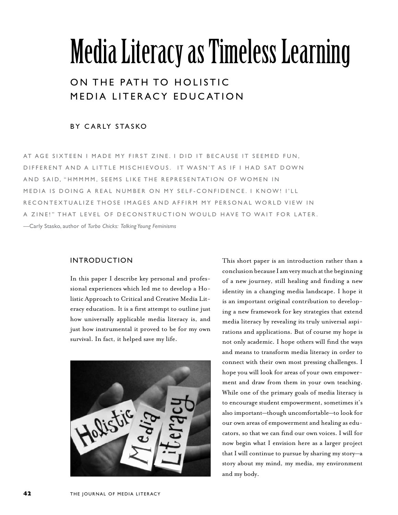# Media Literacy as Timeless Learning

# ON THE PATH TO HOLISTIC MEDIA LITERACY EDUCATION

## BY CARLY STASKO

AT AGE SIXTEEN I MADE MY FIRST ZINE. I DID IT BECAUSE IT SEEMED FUN, DIFFERENT AND A LITTLE MISCHIEVOUS. IT WASN'T AS IF I HAD SAT DOWN AND SAID, "HMMMM, SEEMS LIKE THE REPRESENTATION OF WOMEN IN MEDIA IS DOING A REAL NUMBER ON MY SELF-CONFIDENCE. I KNOW! I'LL RECONTEXTUALIZE THOSE IMAGES AND AFFIRM MY PERSONAL WORLD VIEW IN A ZINE!" THAT LEVEL OF DECONSTRUCTION WOULD HAVE TO WAIT FOR LATER. -Carly Stasko, author of Turbo Chicks: Talking Young Feminisms

### **INTRODUCTION**

In this paper I describe key personal and professional experiences which led me to develop a Holistic Approach to Critical and Creative Media Literacy education. It is a first attempt to outline just how universally applicable media literacy is, and just how instrumental it proved to be for my own survival. In fact, it helped save my life.



This short paper is an introduction rather than a conclusion because I am very much at the beginning of a new journey, still healing and finding a new identity in a changing media landscape. I hope it is an important original contribution to developing a new framework for key strategies that extend media literacy by revealing its truly universal aspirations and applications. But of course my hope is not only academic. I hope others will find the ways and means to transform media literacy in order to connect with their own most pressing challenges. I hope you will look for areas of your own empowerment and draw from them in your own teaching. While one of the primary goals of media literacy is to encourage student empowerment, sometimes it's also important-though uncomfortable-to look for our own areas of empowerment and healing as educators, so that we can find our own voices. I will for now begin what I envision here as a larger project that I will continue to pursue by sharing my story-a story about my mind, my media, my environment and my body.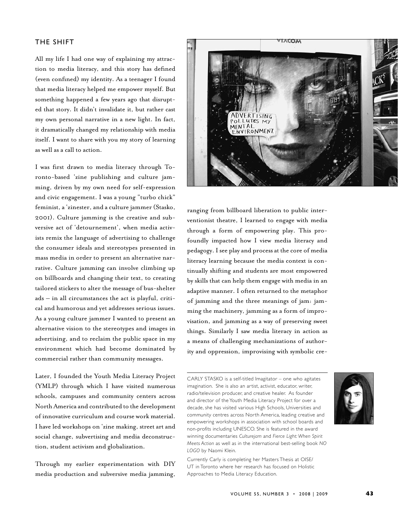#### THE SHIFT

All my life I had one way of explaining my attraction to media literacy, and this story has defined (even confined) my identity. As a teenager I found that media literacy helped me empower myself. But something happened a few years ago that disrupted that story. It didn't invalidate it, but rather cast my own personal narrative in a new light. In fact, it dramatically changed my relationship with media itself. I want to share with you my story of learning as well as a call to action.

I was first drawn to media literacy through Toronto-based 'zine publishing and culture jamming, driven by my own need for self-expression and civic engagement. I was a young "turbo chick" feminist, a 'zinester, and a culture jammer (Stasko, 2001). Culture jamming is the creative and subversive act of 'detournement', when media activists remix the language of advertising to challenge the consumer ideals and stereotypes presented in mass media in order to present an alternative narrative. Culture jamming can involve climbing up on billboards and changing their text, to creating tailored stickers to alter the message of bus-shelter ads - in all circumstances the act is playful, critical and humorous and yet addresses serious issues. As a young culture jammer I wanted to present an alternative vision to the stereotypes and images in advertising, and to reclaim the public space in my environment which had become dominated by commercial rather than community messages.

Later, I founded the Youth Media Literacy Project (YMLP) through which I have visited numerous schools, campuses and community centers across North America and contributed to the development of innovative curriculum and course work material. I have led workshops on 'zine making, street art and social change, subvertising and media deconstruction, student activism and globalization.

Through my earlier experimentation with DIY media production and subversive media jamming,



ranging from billboard liberation to public interventionist theatre, I learned to engage with media through a form of empowering play. This profoundly impacted how I view media literacy and pedagogy. I see play and process at the core of media literacy learning because the media context is continually shifting and students are most empowered by skills that can help them engage with media in an adaptive manner. I often returned to the metaphor of jamming and the three meanings of jam: jamming the machinery, jamming as a form of improvisation, and jamming as a way of preserving sweet things. Similarly I saw media literacy in action as a means of challenging mechanizations of authority and oppression, improvising with symbolic cre-

CARLY STASKO is a self-titled Imagitator - one who agitates imagination. She is also an artist, activist, educator, writer, radio/television producer, and creative healer. As founder and director of the Youth Media Literacy Project for over a decade, she has visited various High Schools, Universities and community centres across North America, leading creative and empowering workshops in association with school boards and non-profits including UNESCO. She is featured in the award winning documentaries Culturejam and Fierce Light: When Spirit Meets Action as well as in the international best-selling book NO LOGO by Naomi Klein.

Currently Carly is completing her Masters Thesis at OISE/ UT in Toronto where her research has focused on Holistic Approaches to Media Literacy Education.

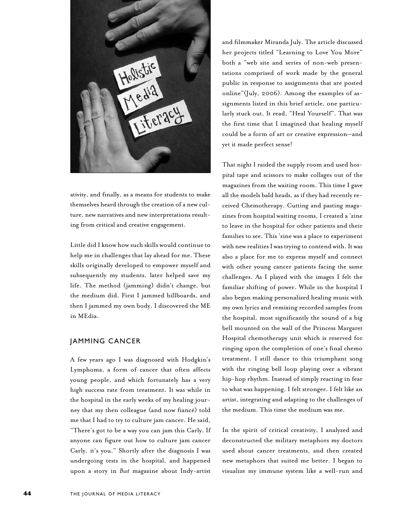

ativity, and finally, as a means for students to make themselves heard through the creation of a new culture, new narratives and new interpretations resulting from critical and creative engagement.

Little did I know how such skills would continue to help me in challenges that lay ahead for me. These skills originally developed to empower myself and subsequently my students, later helped save my life. The method (jamming) didn't change, but the medium did. First I jammed billboards, and then I jammed my own body. I discovered the ME in MEdia.

#### **JAMMING CANCER**

A few years ago I was diagnosed with Hodgkin's Lymphoma, a form of cancer that often affects young people, and which fortunately has a very high success rate from treatment. It was while in the hospital in the early weeks of my healing journey that my then colleague (and now fiancé) told me that I had to try to culture jam cancer. He said, "There's got to be a way you can jam this Carly. If anyone can figure out how to culture jam cancer Carly, it's you." Shortly after the diagnosis I was undergoing tests in the hospital, and happened upon a story in Bust magazine about Indy-artist

and filmmaker Miranda July. The article discussed her projects titled "Learning to Love You More" both a "web site and series of non-web presentations comprised of work made by the general public in response to assignments that are posted online"(July, 2006). Among the examples of assignments listed in this brief article, one particularly stuck out. It read, "Heal Yourself". That was the first time that I imagined that healing myself could be a form of art or creative expression-and yet it made perfect sense!

That night I raided the supply room and used hospital tape and scissors to make collages out of the magazines from the waiting room. This time I gave all the models bald heads, as if they had recently received Chemotherapy. Cutting and pasting magazines from hospital waiting rooms, I created a 'zine to leave in the hospital for other patients and their families to see. This 'zine was a place to experiment with new realities I was trying to contend with. It was also a place for me to express myself and connect with other young cancer patients facing the same challenges. As I played with the images I felt the familiar shifting of power. While in the hospital I also began making personalized healing music with my own lyrics and remixing recorded samples from the hospital, most significantly the sound of a big bell mounted on the wall of the Princess Margaret Hospital chemotherapy unit which is reserved for ringing upon the completion of one's final chemo treatment. I still dance to this triumphant song with the ringing bell loop playing over a vibrant hip-hop rhythm. Instead of simply reacting in fear to what was happening, I felt stronger. I felt like an artist, integrating and adapting to the challenges of the medium. This time the medium was me.

In the spirit of critical creativity, I analyzed and deconstructed the military metaphors my doctors used about cancer treatments, and then created new metaphors that suited me better. I began to visualize my immune system like a well-run and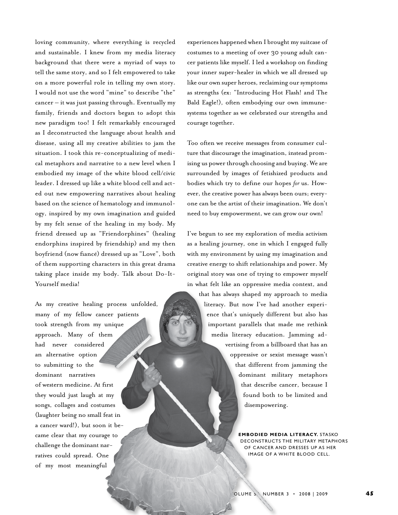loving community, where everything is recycled and sustainable. I knew from my media literacy background that there were a myriad of ways to tell the same story, and so I felt empowered to take on a more powerful role in telling my own story. I would not use the word "mine" to describe "the" cancer - it was just passing through. Eventually my family, friends and doctors began to adopt this new paradigm too! I felt remarkably encouraged as I deconstructed the language about health and disease, using all my creative abilities to jam the situation. I took this re-conceptualizing of medical metaphors and narrative to a new level when I embodied my image of the white blood cell/civic leader. I dressed up like a white blood cell and acted out new empowering narratives about healing based on the science of hematology and immunology, inspired by my own imagination and guided by my felt sense of the healing in my body. My friend dressed up as "Friendorphines" (healing endorphins inspired by friendship) and my then boyfriend (now fiance) dressed up as "Love", both of them supporting characters in this great drama taking place inside my body. Talk about Do-It-Yourself media!

As my creative healing process unfolded, many of my fellow cancer patients took strength from my unique approach. Many of them had never considered an alternative option to submitting to the dominant narratives of western medicine. At first they would just laugh at my songs, collages and costumes (laughter being no small feat in a cancer ward!), but soon it became clear that my courage to challenge the dominant narratives could spread. One of my most meaningful

experiences happened when I brought my suitcase of costumes to a meeting of over 30 young adult cancer patients like myself. I led a workshop on finding your inner super-healer in which we all dressed up like our own super heroes, reclaiming our symptoms as strengths (ex: "Introducing Hot Flash! and The Bald Eagle!), often embodying our own immunesystems together as we celebrated our strengths and courage together.

Too often we receive messages from consumer culture that discourage the imagination, instead promising us power through choosing and buying. We are surrounded by images of fetishized products and bodies which try to define our hopes for us. However, the creative power has always been ours; everyone can be the artist of their imagination. We don't need to buy empowerment, we can grow our own!

I've begun to see my exploration of media activism as a healing journey, one in which I engaged fully with my environment by using my imagination and creative energy to shift relationships and power. My original story was one of trying to empower myself in what felt like an oppressive media context, and

that has always shaped my approach to media literacy. But now I've had another experience that's uniquely different but also has important parallels that made me rethink media literacy education. Jamming advertising from a billboard that has an oppressive or sexist message wasn't that different from jamming the dominant military metaphors that describe cancer, because I found both to be limited and disempowering.

> **EMBODIED MEDIA LITERACY, STASKO** DECONSTRUCTS THE MILITARY METAPHORS OF CANCER AND DRESSES UP AS HER IMAGE OF A WHITE BLOOD CELL.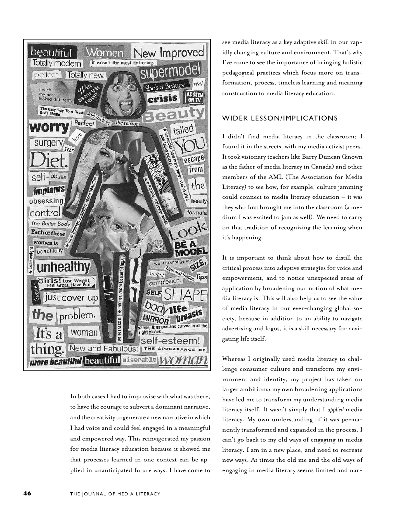

In both cases I had to improvise with what was there, to have the courage to subvert a dominant narrative, and the creativity to generate a new narrative in which I had voice and could feel engaged in a meaningful and empowered way. This reinvigorated my passion for media literacy education because it showed me that processes learned in one context can be applied in unanticipated future ways. I have come to

see media literacy as a key adaptive skill in our rapidly changing culture and environment. That's why I've come to see the importance of bringing holistic pedagogical practices which focus more on transformation, process, timeless learning and meaning construction to media literacy education.

#### **WIDER LESSON/IMPLICATIONS**

I didn't find media literacy in the classroom; I found it in the streets, with my media activist peers. It took visionary teachers like Barry Duncan (known as the father of media literacy in Canada) and other members of the AML (The Association for Media Literacy) to see how, for example, culture jamming could connect to media literacy education - it was they who first brought me into the classroom (a medium I was excited to jam as well). We need to carry on that tradition of recognizing the learning when it's happening.

It is important to think about how to distill the critical process into adaptive strategies for voice and empowerment, and to notice unexpected areas of application by broadening our notion of what media literacy is. This will also help us to see the value of media literacy in our ever-changing global society, because in addition to an ability to navigate advertising and logos, it is a skill necessary for navigating life itself.

Whereas I originally used media literacy to challenge consumer culture and transform my environment and identity, my project has taken on larger ambitions: my own broadening applications have led me to transform my understanding media literacy itself. It wasn't simply that I applied media literacy. My own understanding of it was permanently transformed and expanded in the process. I can't go back to my old ways of engaging in media literacy. I am in a new place, and need to recreate new ways. At times the old me and the old ways of engaging in media literacy seems limited and nar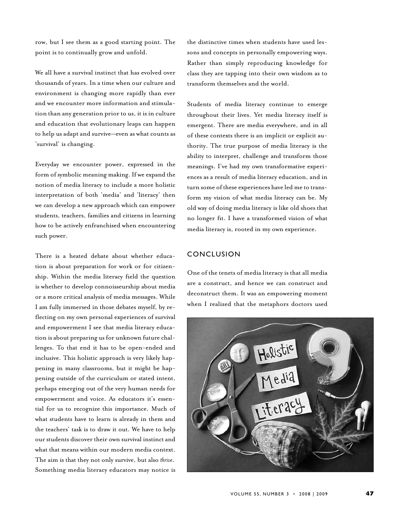row, but I see them as a good starting point. The point is to continually grow and unfold.

We all have a survival instinct that has evolved over thousands of years. In a time when our culture and environment is changing more rapidly than ever and we encounter more information and stimulation than any generation prior to us, it is in culture and education that evolutionary leaps can happen to help us adapt and survive-even as what counts as 'survival' is changing.

Everyday we encounter power, expressed in the form of symbolic meaning making. If we expand the notion of media literacy to include a more holistic interpretation of both 'media' and 'literacy' then we can develop a new approach which can empower students, teachers, families and citizens in learning how to be actively enfranchised when encountering such power.

There is a heated debate about whether education is about preparation for work or for citizenship. Within the media literacy field the question is whether to develop connoisseurship about media or a more critical analysis of media messages. While I am fully immersed in those debates myself, by reflecting on my own personal experiences of survival and empowerment I see that media literacy education is about preparing us for unknown future challenges. To that end it has to be open-ended and inclusive. This holistic approach is very likely happening in many classrooms, but it might be happening outside of the curriculum or stated intent, perhaps emerging out of the very human needs for empowerment and voice. As educators it's essential for us to recognize this importance. Much of what students have to learn is already in them and the teachers' task is to draw it out. We have to help our students discover their own survival instinct and what that means within our modern media context. The aim is that they not only survive, but also thrive. Something media literacy educators may notice is

the distinctive times when students have used lessons and concepts in personally empowering ways. Rather than simply reproducing knowledge for class they are tapping into their own wisdom as to transform themselves and the world.

Students of media literacy continue to emerge throughout their lives. Yet media literacy itself is emergent. There are media everywhere, and in all of these contexts there is an implicit or explicit authority. The true purpose of media literacy is the ability to interpret, challenge and transform those meanings. I've had my own transformative experiences as a result of media literacy education, and in turn some of these experiences have led me to transform my vision of what media literacy can be. My old way of doing media literacy is like old shoes that no longer fit. I have a transformed vision of what media literacy is, rooted in my own experience.

#### CONCLUSION

One of the tenets of media literacy is that all media are a construct, and hence we can construct and deconstruct them. It was an empowering moment when I realized that the metaphors doctors used